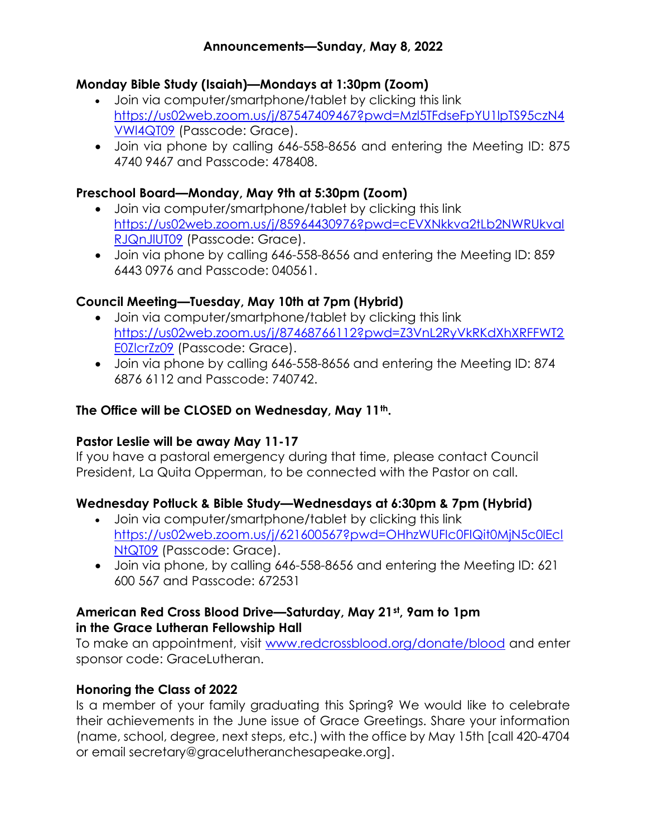# Monday Bible Study (Isaiah)—Mondays at 1:30pm (Zoom)

- Join via computer/smartphone/tablet by clicking this link https://us02web.zoom.us/j/87547409467?pwd=Mzl5TFdseFpYU1lpTS95czN4 VWl4QT09 (Passcode: Grace).
- Join via phone by calling 646-558-8656 and entering the Meeting ID: 875 4740 9467 and Passcode: 478408.

#### Preschool Board—Monday, May 9th at 5:30pm (Zoom)

- Join via computer/smartphone/tablet by clicking this link https://us02web.zoom.us/j/85964430976?pwd=cEVXNkkva2tLb2NWRUkval RJQnJlUT09 (Passcode: Grace).
- Join via phone by calling 646-558-8656 and entering the Meeting ID: 859 6443 0976 and Passcode: 040561.

# Council Meeting—Tuesday, May 10th at 7pm (Hybrid)

- Join via computer/smartphone/tablet by clicking this link https://us02web.zoom.us/j/87468766112?pwd=Z3VnL2RyVkRKdXhXRFFWT2 E0ZlcrZz09 (Passcode: Grace).
- Join via phone by calling 646-558-8656 and entering the Meeting ID: 874 6876 6112 and Passcode: 740742.

#### The Office will be CLOSED on Wednesday, May 11<sup>th</sup>.

#### Pastor Leslie will be away May 11-17

If you have a pastoral emergency during that time, please contact Council President, La Quita Opperman, to be connected with the Pastor on call.

# Wednesday Potluck & Bible Study—Wednesdays at 6:30pm & 7pm (Hybrid)

- Join via computer/smartphone/tablet by clicking this link https://us02web.zoom.us/j/621600567?pwd=OHhzWUFIc0FIQit0MjN5c0lEcl NtQT09 (Passcode: Grace).
- Join via phone, by calling 646-558-8656 and entering the Meeting ID: 621 600 567 and Passcode: 672531

#### American Red Cross Blood Drive—Saturday, May 21st, 9am to 1pm in the Grace Lutheran Fellowship Hall

To make an appointment, visit www.redcrossblood.org/donate/blood and enter sponsor code: GraceLutheran.

# Honoring the Class of 2022

Is a member of your family graduating this Spring? We would like to celebrate their achievements in the June issue of Grace Greetings. Share your information (name, school, degree, next steps, etc.) with the office by May 15th [call 420-4704 or email secretary@gracelutheranchesapeake.org].